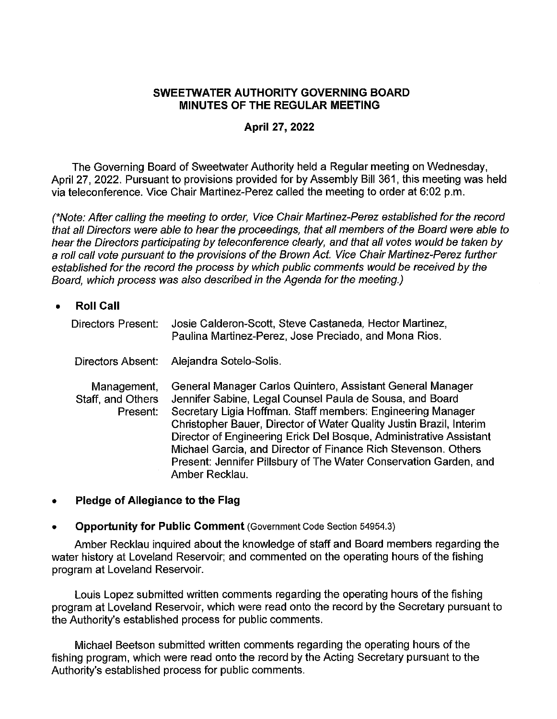#### **SWEETWATER AUTHORITY GOVERNING BOARD MINUTES OF THE REGULAR MEETING**

#### **April 27, 2022**

The Governing Board of Sweetwater Authority held a Regular meeting on Wednesday, April 27, 2022. Pursuant to provisions provided for by Assembly Bill 361, this meeting was held via teleconference. Vice Chair Martinez-Perez called the meeting to order at 6:02 p.m.

(\*Note: After calling the meeting to order, Vice Chair Martinez-Perez established for the record that all Directors were able to hear the proceedings, that all members of the Board were able to hear the Directors participating by teleconference clearly, and that all votes would be taken by a roll call vote pursuant to the provisions of the Brown Act. Vice Chair Martinez-Perez further established for the record the process by which public comments would be received by the Board, which process was also described in the Agenda for the meeting.)

- **Roll Call**  Directors Present: Directors Absent: Management, Staff, and Others Present: Josie Calderon-Scott, Steve Castaneda, Hector Martinez, Paulina Martinez-Perez, Jose Preciado, and Mona Rios. Alejandra Sotelo-Solis. General Manager Carlos Quintero, Assistant General Manager Jennifer Sabine, Legal Counsel Paula de Sousa, and Board Secretary Ligia Hoffman. Staff members: Engineering Manager Christopher Bauer, Director of Water Quality Justin Brazil, Interim Director of Engineering Erick Del Bosque, Administrative Assistant Michael Garcia, and Director of Finance Rich Stevenson. Others Present: Jennifer Pillsbury of The Water Conservation Garden, and Amber Recklau.
- **Pledge of Allegiance to the Flag**

#### • **Opportunity for Public Comment** (Government Code Section 54954.3)

Amber Recklau inquired about the knowledge of staff and Board members regarding the water history at Loveland Reservoir; and commented on the operating hours of the fishing program at Loveland Reservoir.

Louis Lopez submitted written comments regarding the operating hours of the fishing program at Loveland Reservoir, which were read onto the record by the Secretary pursuant to the Authority's established process for public comments.

Michael Beetson submitted written comments regarding the operating hours of the fishing program, which were read onto the record by the Acting Secretary pursuant to the Authority's established process for public comments.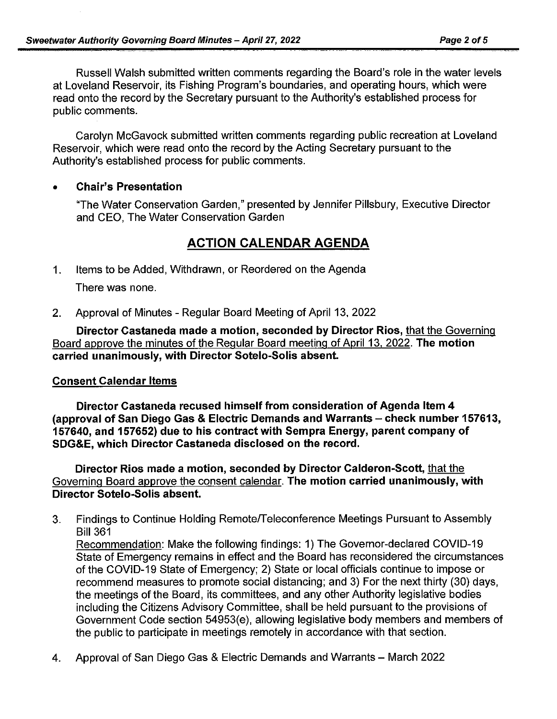Russell Walsh submitted written comments regarding the Board's role in the water levels at Loveland Reservoir, its Fishing Program's boundaries, and operating hours, which were read onto the record by the Secretary pursuant to the Authority's established process for public comments.

Carolyn McGavock submitted written comments regarding public recreation at Loveland Reservoir, which were read onto the record by the Acting Secretary pursuant to the Authority's established process for public comments.

# • **Chair's Presentation**

''The Water Conservation Garden," presented by Jennifer Pillsbury, Executive Director and CEO, The Water Conservation Garden

# **ACTION CALENDAR AGENDA**

- 1. Items to be Added, Withdrawn, or Reordered on the Agenda There was none.
- 2. Approval of Minutes Regular Board Meeting of April 13, 2022

**Director Castaneda made a motion, seconded by Director Rios,** that the Governing Board approve the minutes of the Regular Board meeting of April 13, 2022. **The motion carried unanimously, with Director Sotelo-Solis absent.** 

## **Consent Calendar Items**

**Director Castaneda recused himself from consideration of Agenda Item 4 (approval of San Diego Gas & Electric Demands and Warrants- check number 157613, 157640, and 157652) due to his contract with Sempra Energy, parent company of SDG&E, which Director Castaneda disclosed on the record.** 

**Director Rios made a motion, seconded by Director Calderon-Scott,** that the Governing Board approve the consent calendar. **The motion carried unanimously, with Director Sotelo-Solis absent.** 

3. Findings to Continue Holding Remote/Teleconference Meetings Pursuant to Assembly Bill 361

Recommendation: Make the following findings: 1) The Governor-declared COVID-19 State of Emergency remains in effect and the Board has reconsidered the circumstances of the COVID-19 State of Emergency; 2) State or local officials continue to impose or recommend measures to promote social distancing; and 3) For the next thirty (30) days, the meetings of the Board, its committees, and any other Authority legislative bodies including the Citizens Advisory Committee, shall be held pursuant to the provisions of Government Code section 54953(e), allowing legislative body members and members of the public to participate in meetings remotely in accordance with that section.

4. Approval of San Diego Gas & Electric Demands and Warrants – March 2022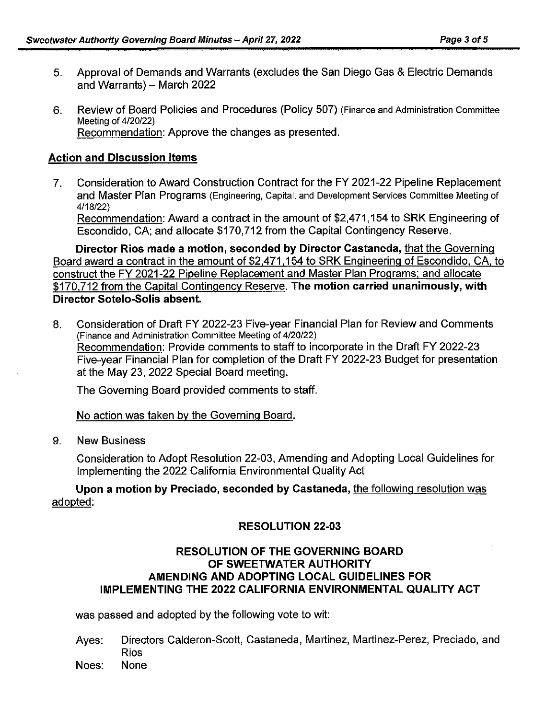- 5. Approval of Demands and Warrants (excludes the San Diego Gas & Electric Demands and Warrants) - March 2022
- 6. Review of Board Policies and Procedures (Policy 507) (Finance and Administration Committee Meeting of 4/20/22) Recommendation: Approve the changes as presented.

### **Action and Discussion Items**

7. Consideration to Award Construction Contract for the FY 2021-22 Pipeline Replacement and Master Plan Programs (Engineering, Capital, and Development Services Committee Meeting of 4/18/22)

Recommendation: Award a contract in the amount of \$2,471,154 to SRK Engineering of Escondido, CA; and allocate \$170,712 from the Capital Contingency Reserve.

**Director Rios made a motion, seconded by Director Castaneda,** that the Governing Board award a contract in the amount of \$2,471,154 to SRK Engineering of Escondido. CA, to construct the FY 2021-22 Pipeline Replacement and Master Plan Programs: and allocate \$170,712 from the Capital Contingency Reserve. **The motion carried unanimously, with Director Sotelo-Solis absent.** 

8. Consideration of Draft FY 2022-23 Five-year Financial Plan for Review and Comments (Finance and Administration Committee Meeting of 4/20/22) Recommendation: Provide comments to staff to incorporate in the Draft FY 2022-23 Five-year Financial Plan for completion of the Draft FY 2022-23 Budget for presentation at the May 23, 2022 Special Board meeting.

The Governing Board provided comments to staff.

No action was taken by the Governing Board.

9. New Business

Consideration to Adopt Resolution 22-03, Amending and Adopting Local Guidelines for Implementing the 2022 California Environmental Quality Act

**Upon a motion by Preciado, seconded by Castaneda,** the following resolution was adopted:

#### **RESOLUTION 22-03**

### **RESOLUTION OF THE GOVERNING BOARD OF SWEETWATER AUTHORITY AMENDING AND ADOPTING LOCAL GUIDELINES FOR IMPLEMENTING THE 2022 CALIFORNIA ENVIRONMENTAL QUALITY ACT**

was passed and adopted by the following vote to wit:

- Ayes: Directors Calderon-Scott, Castaneda, Martinez, Martinez-Perez, Preciado, and Rios
- Noes: None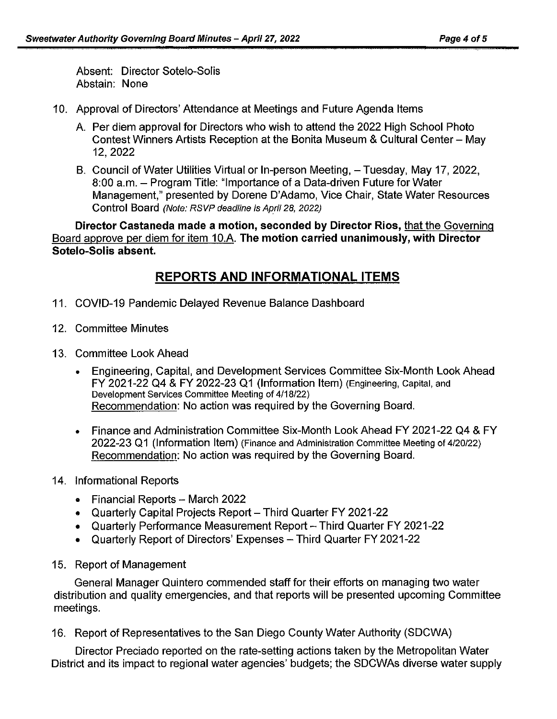Absent: Director Sotelo-Solis Abstain: None

- 10. Approval of Directors' Attendance at Meetings and Future Agenda Items
	- A. Per diem approval for Directors who wish to attend the 2022 High School Photo Contest Winners Artists Reception at the Bonita Museum & Cultural Center - May 12,2022
	- B. Council of Water Utilities Virtual or In-person Meeting, Tuesday, May 17, 2022, 8:00 a.m. - Program Title: "Importance of a Data-driven Future for Water Management," presented by Dorene D'Adamo, Vice Chair, State Water Resources Control Board (Note: RSVP deadline is April 28, 2022)

**Director Castaneda made a motion, seconded by Director Rios,** that the Governing Board approve per diem for item 10.A. **The motion carried unanimously, with Director Sotelo-Solis absent.** 

# **REPORTS AND INFORMATIONAL ITEMS**

- 11. COVID-19 Pandemic Delayed Revenue Balance Dashboard
- 12. Committee Minutes
- 13. Committee Look Ahead
	- Engineering, Capital, and Development Services Committee Six-Month Look Ahead FY 2021-22 Q4 & FY 2022-23 Q1 (Information Item) (Engineering, Capital, and Development Services Committee Meeting of 4/18/22) Recommendation: No action was required by the Governing Board.
	- Finance and Administration Committee Six-Month Look Ahead FY 2021-22 Q4 & FY 2022-23 Q1 (Information Item) (Finance and Administration Committee Meeting of 4/20/22) Recommendation: No action was required by the Governing Board.
- 14. Informational Reports
	- Financial Reports March 2022
	- Quarterly Capital Projects Report Third Quarter FY 2021-22
	- Quarterly Performance Measurement Report Third Quarter FY 2021-22
	- Quarterly Report of Directors' Expenses Third Quarter FY 2021-22
- 15. Report of Management

General Manager Quintero commended staff for their efforts on managing two water distribution and quality emergencies, and that reports will be presented upcoming Committee meetings.

16. Report of Representatives to the San Diego County Water Authority (SDCWA)

Director Preciado reported on the rate-setting actions taken by the Metropolitan Water District and its impact to regional water agencies' budgets; the SDCWAs diverse water supply